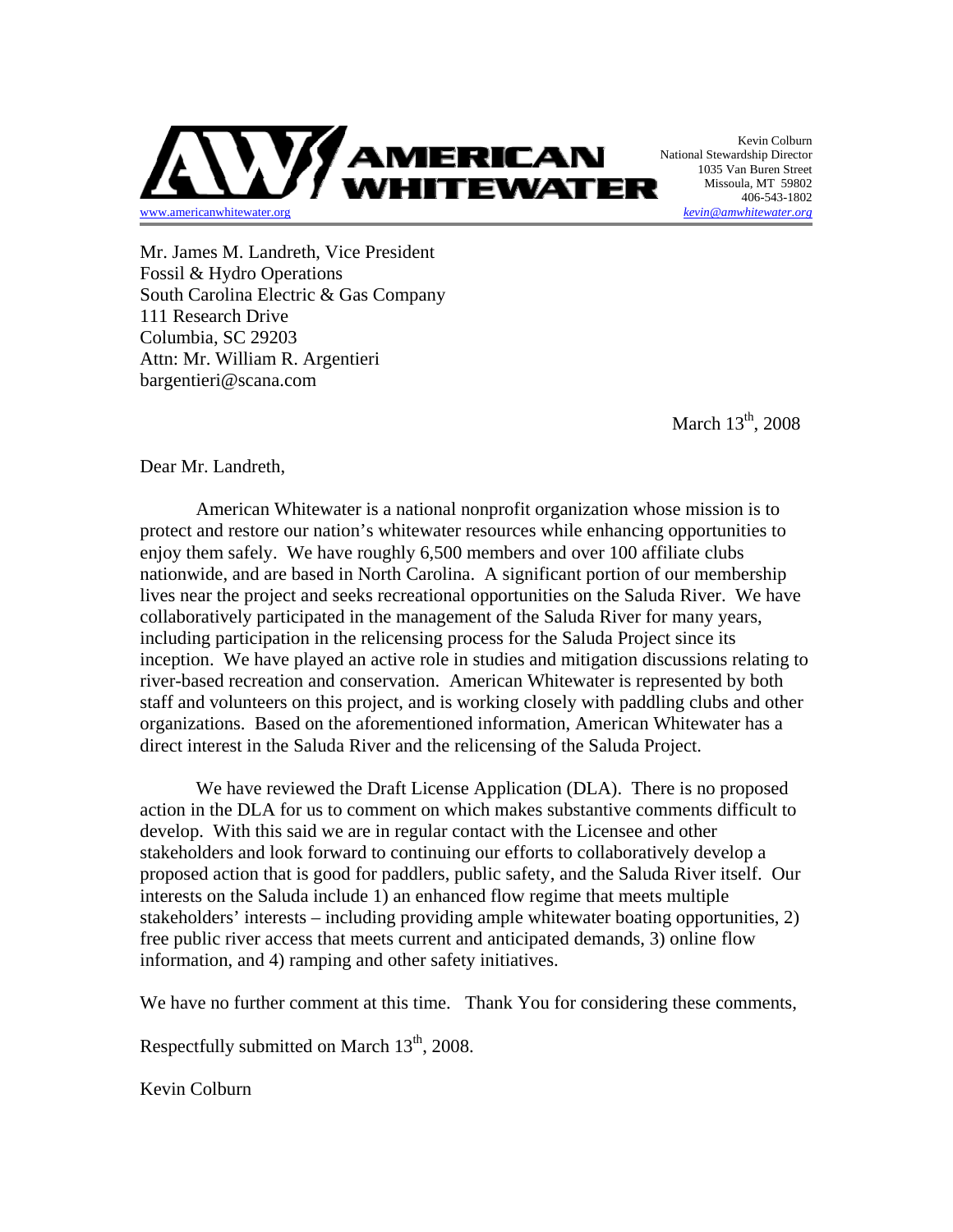

Kevin Colburn National Stewardship Director 1035 Van Buren Street Missoula, MT 59802 406-543-1802

Mr. James M. Landreth, Vice President Fossil & Hydro Operations South Carolina Electric & Gas Company 111 Research Drive Columbia, SC 29203 Attn: Mr. William R. Argentieri bargentieri@scana.com

March  $13<sup>th</sup>$ , 2008

Dear Mr. Landreth,

American Whitewater is a national nonprofit organization whose mission is to protect and restore our nation's whitewater resources while enhancing opportunities to enjoy them safely. We have roughly 6,500 members and over 100 affiliate clubs nationwide, and are based in North Carolina. A significant portion of our membership lives near the project and seeks recreational opportunities on the Saluda River. We have collaboratively participated in the management of the Saluda River for many years, including participation in the relicensing process for the Saluda Project since its inception. We have played an active role in studies and mitigation discussions relating to river-based recreation and conservation. American Whitewater is represented by both staff and volunteers on this project, and is working closely with paddling clubs and other organizations. Based on the aforementioned information, American Whitewater has a direct interest in the Saluda River and the relicensing of the Saluda Project.

We have reviewed the Draft License Application (DLA). There is no proposed action in the DLA for us to comment on which makes substantive comments difficult to develop. With this said we are in regular contact with the Licensee and other stakeholders and look forward to continuing our efforts to collaboratively develop a proposed action that is good for paddlers, public safety, and the Saluda River itself. Our interests on the Saluda include 1) an enhanced flow regime that meets multiple stakeholders' interests – including providing ample whitewater boating opportunities, 2) free public river access that meets current and anticipated demands, 3) online flow information, and 4) ramping and other safety initiatives.

We have no further comment at this time. Thank You for considering these comments,

Respectfully submitted on March  $13<sup>th</sup>$ , 2008.

Kevin Colburn